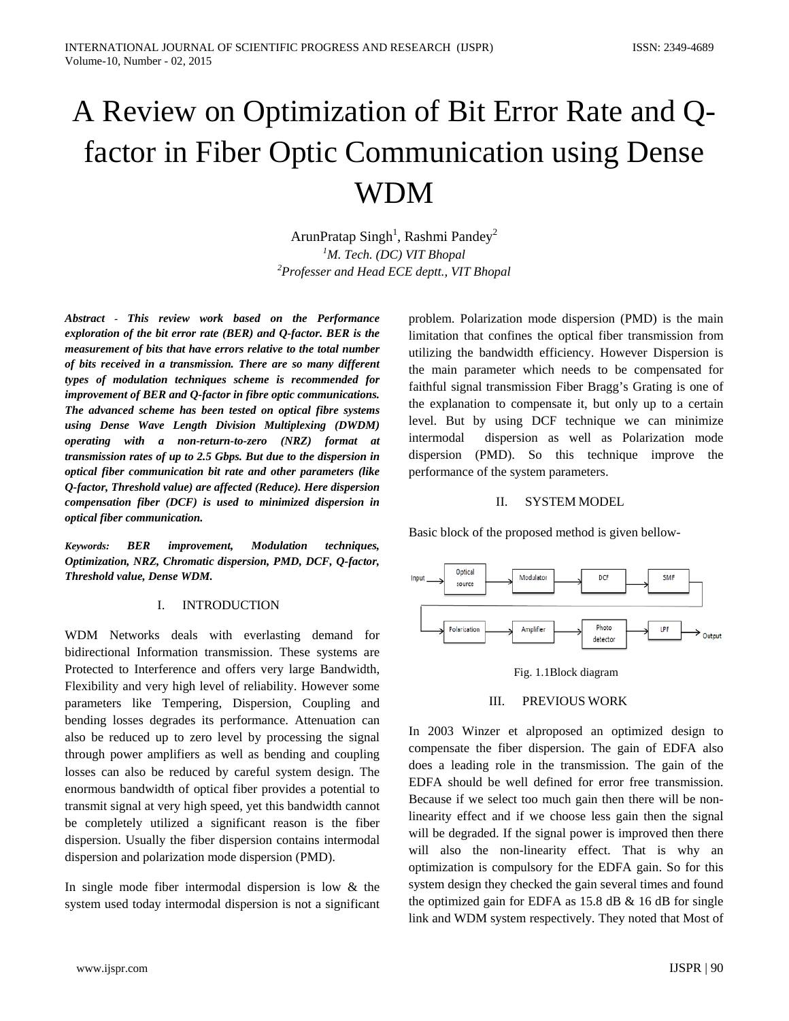# A Review on Optimization of Bit Error Rate and Qfactor in Fiber Optic Communication using Dense WDM

ArunPratap Singh<sup>1</sup>, Rashmi Pandey<sup>2</sup> *1 M. Tech. (DC) VIT Bhopal 2 Professer and Head ECE deptt., VIT Bhopal*

*Abstract - This review work based on the Performance exploration of the bit error rate (BER) and Q-factor. BER is the measurement of bits that have errors relative to the total number of bits received in a transmission. There are so many different types of modulation techniques scheme is recommended for improvement of BER and Q-factor in fibre optic communications. The advanced scheme has been tested on optical fibre systems using Dense Wave Length Division Multiplexing (DWDM) operating with a non-return-to-zero (NRZ) format at transmission rates of up to 2.5 Gbps. But due to the dispersion in optical fiber communication bit rate and other parameters (like Q-factor, Threshold value) are affected (Reduce). Here dispersion compensation fiber (DCF) is used to minimized dispersion in optical fiber communication.*

*Keywords: BER improvement, Modulation techniques, Optimization, NRZ, Chromatic dispersion, PMD, DCF, Q-factor, Threshold value, Dense WDM.*

#### I. INTRODUCTION

WDM Networks deals with everlasting demand for bidirectional Information transmission. These systems are Protected to Interference and offers very large Bandwidth, Flexibility and very high level of reliability. However some parameters like Tempering, Dispersion, Coupling and bending losses degrades its performance. Attenuation can also be reduced up to zero level by processing the signal through power amplifiers as well as bending and coupling losses can also be reduced by careful system design. The enormous bandwidth of optical fiber provides a potential to transmit signal at very high speed, yet this bandwidth cannot be completely utilized a significant reason is the fiber dispersion. Usually the fiber dispersion contains intermodal dispersion and polarization mode dispersion (PMD).

In single mode fiber intermodal dispersion is low & the system used today intermodal dispersion is not a significant

problem. Polarization mode dispersion (PMD) is the main limitation that confines the optical fiber transmission from utilizing the bandwidth efficiency. However Dispersion is the main parameter which needs to be compensated for faithful signal transmission Fiber Bragg's Grating is one of the explanation to compensate it, but only up to a certain level. But by using DCF technique we can minimize intermodal dispersion as well as Polarization mode dispersion (PMD). So this technique improve the performance of the system parameters.

### II. SYSTEM MODEL

Basic block of the proposed method is given bellow-





# III. PREVIOUS WORK

In 2003 Winzer et alproposed an optimized design to compensate the fiber dispersion. The gain of EDFA also does a leading role in the transmission. The gain of the EDFA should be well defined for error free transmission. Because if we select too much gain then there will be nonlinearity effect and if we choose less gain then the signal will be degraded. If the signal power is improved then there will also the non-linearity effect. That is why an optimization is compulsory for the EDFA gain. So for this system design they checked the gain several times and found the optimized gain for EDFA as 15.8 dB & 16 dB for single link and WDM system respectively. They noted that Most of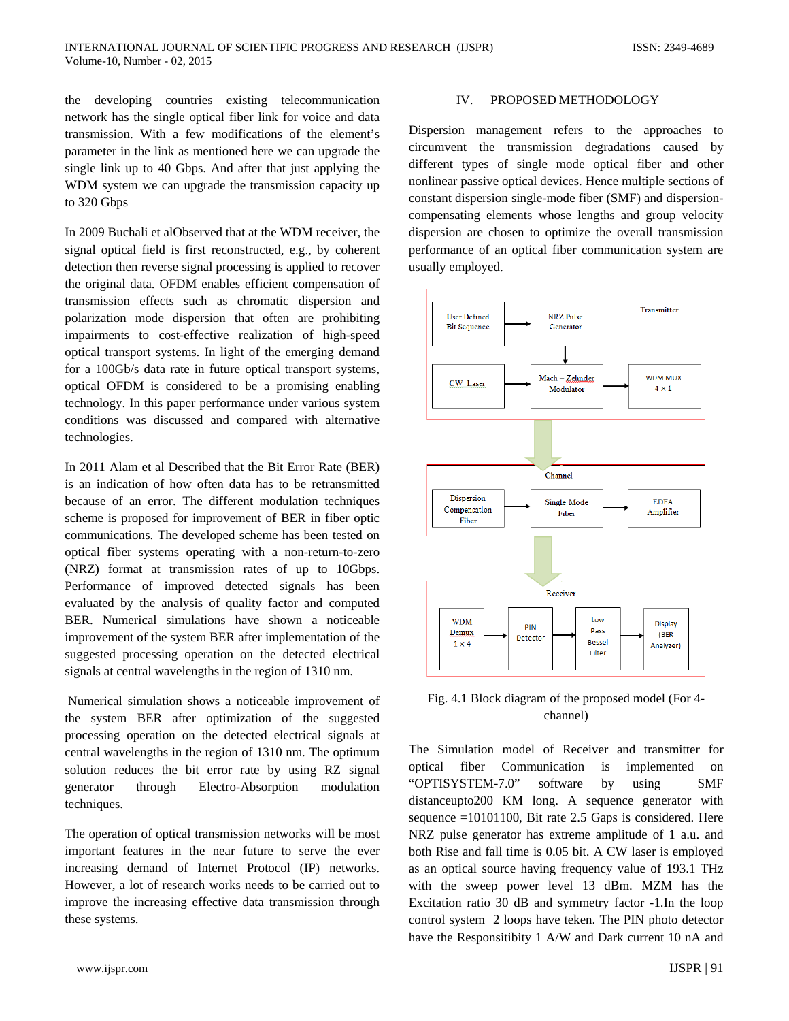the developing countries existing telecommunication network has the single optical fiber link for voice and data transmission. With a few modifications of the element's parameter in the link as mentioned here we can upgrade the single link up to 40 Gbps. And after that just applying the WDM system we can upgrade the transmission capacity up to 320 Gbps

In 2009 Buchali et alObserved that at the WDM receiver, the signal optical field is first reconstructed, e.g., by coherent detection then reverse signal processing is applied to recover the original data. OFDM enables efficient compensation of transmission effects such as chromatic dispersion and polarization mode dispersion that often are prohibiting impairments to cost-effective realization of high-speed optical transport systems. In light of the emerging demand for a 100Gb/s data rate in future optical transport systems, optical OFDM is considered to be a promising enabling technology. In this paper performance under various system conditions was discussed and compared with alternative technologies.

In 2011 Alam et al Described that the Bit Error Rate (BER) is an indication of how often data has to be retransmitted because of an error. The different modulation techniques scheme is proposed for improvement of BER in fiber optic communications. The developed scheme has been tested on optical fiber systems operating with a non-return-to-zero (NRZ) format at transmission rates of up to 10Gbps. Performance of improved detected signals has been evaluated by the analysis of quality factor and computed BER. Numerical simulations have shown a noticeable improvement of the system BER after implementation of the suggested processing operation on the detected electrical signals at central wavelengths in the region of 1310 nm.

Numerical simulation shows a noticeable improvement of the system BER after optimization of the suggested processing operation on the detected electrical signals at central wavelengths in the region of 1310 nm. The optimum solution reduces the bit error rate by using RZ signal generator through Electro-Absorption modulation techniques.

The operation of optical transmission networks will be most important features in the near future to serve the ever increasing demand of Internet Protocol (IP) networks. However, a lot of research works needs to be carried out to improve the increasing effective data transmission through these systems.

### IV. PROPOSED METHODOLOGY

Dispersion management refers to the approaches to circumvent the transmission degradations caused by different types of single mode optical fiber and other nonlinear passive optical devices. Hence multiple sections of constant dispersion single-mode fiber (SMF) and dispersioncompensating elements whose lengths and group velocity dispersion are chosen to optimize the overall transmission performance of an optical fiber communication system are usually employed.



Fig. 4.1 Block diagram of the proposed model (For 4 channel)

The Simulation model of Receiver and transmitter for optical fiber Communication is implemented on "OPTISYSTEM-7.0" software by using SMF distanceupto200 KM long. A sequence generator with sequence =10101100, Bit rate 2.5 Gaps is considered. Here NRZ pulse generator has extreme amplitude of 1 a.u. and both Rise and fall time is 0.05 bit. A CW laser is employed as an optical source having frequency value of 193.1 THz with the sweep power level 13 dBm. MZM has the Excitation ratio 30 dB and symmetry factor -1.In the loop control system 2 loops have teken. The PIN photo detector have the Responsitibity 1 A/W and Dark current 10 nA and